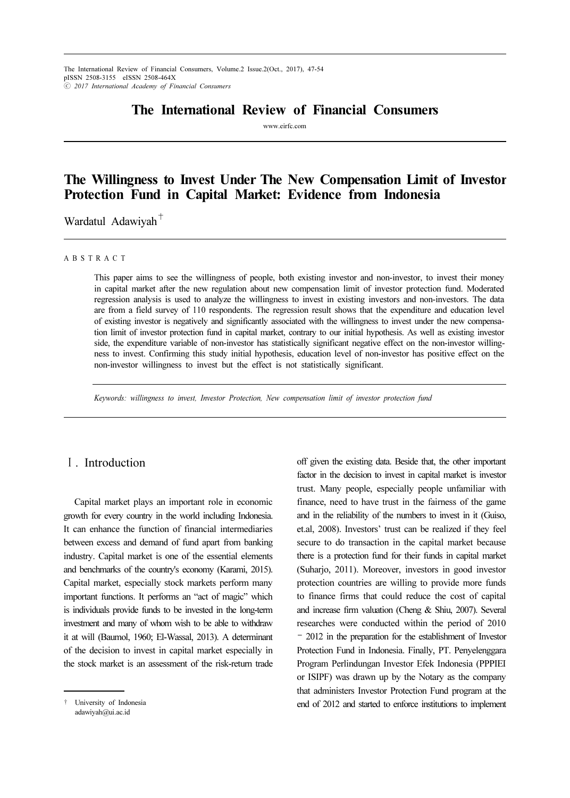## The International Review of Financial Consumers

www.eirfc.com

# The Willingness to Invest Under The New Compensation Limit of Investor Protection Fund in Capital Market: Evidence from Indonesia

Wardatul Adawiyah $<sup>+</sup>$ </sup>

#### A B S T R A C T

This paper aims to see the willingness of people, both existing investor and non-investor, to invest their money in capital market after the new regulation about new compensation limit of investor protection fund. Moderated regression analysis is used to analyze the willingness to invest in existing investors and non-investors. The data are from a field survey of 110 respondents. The regression result shows that the expenditure and education level of existing investor is negatively and significantly associated with the willingness to invest under the new compensation limit of investor protection fund in capital market, contrary to our initial hypothesis. As well as existing investor side, the expenditure variable of non-investor has statistically significant negative effect on the non-investor willingness to invest. Confirming this study initial hypothesis, education level of non-investor has positive effect on the non-investor willingness to invest but the effect is not statistically significant.

Keywords: willingness to invest, Investor Protection, New compensation limit of investor protection fund

## Ⅰ. Introduction

Capital market plays an important role in economic growth for every country in the world including Indonesia. It can enhance the function of financial intermediaries between excess and demand of fund apart from banking industry. Capital market is one of the essential elements and benchmarks of the country's economy (Karami, 2015). Capital market, especially stock markets perform many important functions. It performs an "act of magic" which is individuals provide funds to be invested in the long-term investment and many of whom wish to be able to withdraw it at will (Baumol, 1960; El-Wassal, 2013). A determinant of the decision to invest in capital market especially in the stock market is an assessment of the risk-return trade

off given the existing data. Beside that, the other important factor in the decision to invest in capital market is investor trust. Many people, especially people unfamiliar with finance, need to have trust in the fairness of the game and in the reliability of the numbers to invest in it (Guiso, et.al, 2008). Investors' trust can be realized if they feel secure to do transaction in the capital market because there is a protection fund for their funds in capital market (Suharjo, 2011). Moreover, investors in good investor protection countries are willing to provide more funds to finance firms that could reduce the cost of capital and increase firm valuation (Cheng & Shiu, 2007). Several researches were conducted within the period of 2010 – 2012 in the preparation for the establishment of Investor Protection Fund in Indonesia. Finally, PT. Penyelenggara Program Perlindungan Investor Efek Indonesia (PPPIEI or ISIPF) was drawn up by the Notary as the company that administers Investor Protection Fund program at the end of 2012 and started to enforce institutions to implement

<sup>†</sup> University of Indonesia adawiyah@ui.ac.id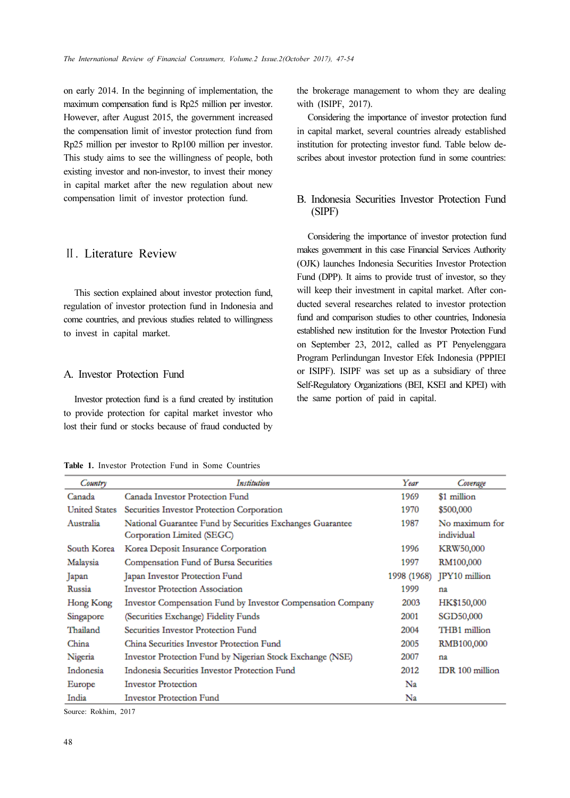on early 2014. In the beginning of implementation, the maximum compensation fund is Rp25 million per investor. However, after August 2015, the government increased the compensation limit of investor protection fund from Rp25 million per investor to Rp100 million per investor. This study aims to see the willingness of people, both existing investor and non-investor, to invest their money in capital market after the new regulation about new compensation limit of investor protection fund.

## Ⅱ. Literature Review

This section explained about investor protection fund, regulation of investor protection fund in Indonesia and come countries, and previous studies related to willingness to invest in capital market.

### A. Investor Protection Fund

Investor protection fund is a fund created by institution to provide protection for capital market investor who lost their fund or stocks because of fraud conducted by

Table 1. Investor Protection Fund in Some Countries

the brokerage management to whom they are dealing with (ISIPF, 2017).

Considering the importance of investor protection fund in capital market, several countries already established institution for protecting investor fund. Table below describes about investor protection fund in some countries:

### B. Indonesia Securities Investor Protection Fund (SIPF)

Considering the importance of investor protection fund makes government in this case Financial Services Authority (OJK) launches Indonesia Securities Investor Protection Fund (DPP). It aims to provide trust of investor, so they will keep their investment in capital market. After conducted several researches related to investor protection fund and comparison studies to other countries, Indonesia established new institution for the Investor Protection Fund on September 23, 2012, called as PT Penyelenggara Program Perlindungan Investor Efek Indonesia (PPPIEI or ISIPF). ISIPF was set up as a subsidiary of three Self-Regulatory Organizations (BEI, KSEI and KPEI) with the same portion of paid in capital.

| Country              | Institution                                                                             | Year        | Coverage                     |
|----------------------|-----------------------------------------------------------------------------------------|-------------|------------------------------|
| Canada               | Canada Investor Protection Fund                                                         | 1969        | \$1 million                  |
| <b>United States</b> | Securities Investor Protection Corporation                                              | 1970        | \$500,000                    |
| Australia            | National Guarantee Fund by Securities Exchanges Guarantee<br>Corporation Limited (SEGC) | 1987        | No maximum for<br>individual |
| South Korea          | Korea Deposit Insurance Corporation                                                     | 1996        | <b>KRW50,000</b>             |
| Malaysia             | Compensation Fund of Bursa Securities                                                   | 1997        | RM100,000                    |
| Japan                | Japan Investor Protection Fund                                                          | 1998 (1968) | JPY10 million                |
| Russia               | <b>Investor Protection Association</b>                                                  | 1999        | na                           |
| Hong Kong            | Investor Compensation Fund by Investor Compensation Company                             | 2003        | HK\$150,000                  |
| Singapore            | (Securities Exchange) Fidelity Funds                                                    | 2001        | SGD50,000                    |
| Thailand             | Securities Investor Protection Fund                                                     | 2004        | THB1 million                 |
| China                | China Securities Investor Protection Fund                                               | 2005        | RMB100,000                   |
| Nigeria              | Investor Protection Fund by Nigerian Stock Exchange (NSE)                               | 2007        | na                           |
| Indonesia            | Indonesia Securities Investor Protection Fund                                           | 2012        | IDR 100 million              |
| Europe               | <b>Investor Protection</b>                                                              | Na          |                              |
| India                | <b>Investor Protection Fund</b>                                                         | Na          |                              |

Source: Rokhim, 2017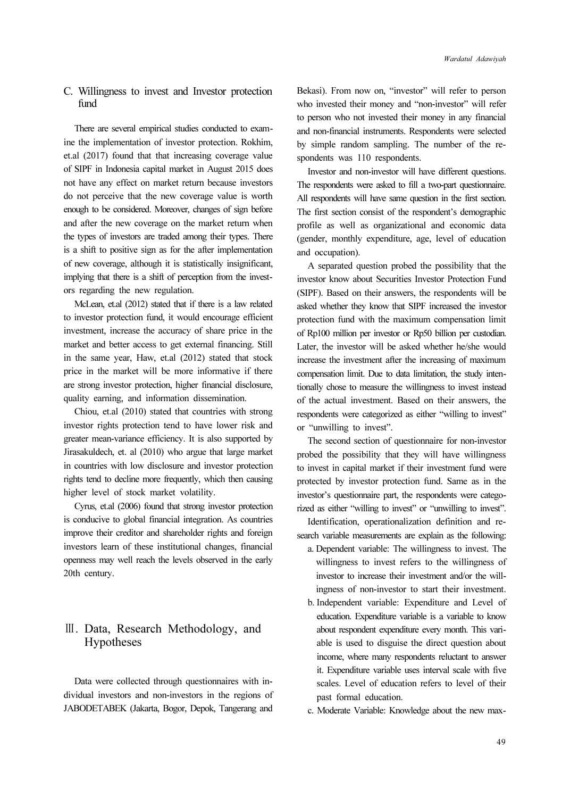### C. Willingness to invest and Investor protection fimd

There are several empirical studies conducted to examine the implementation of investor protection. Rokhim, et.al (2017) found that that increasing coverage value of SIPF in Indonesia capital market in August 2015 does not have any effect on market return because investors do not perceive that the new coverage value is worth enough to be considered. Moreover, changes of sign before and after the new coverage on the market return when the types of investors are traded among their types. There is a shift to positive sign as for the after implementation of new coverage, although it is statistically insignificant, implying that there is a shift of perception from the investors regarding the new regulation.

McLean, et.al (2012) stated that if there is a law related to investor protection fund, it would encourage efficient investment, increase the accuracy of share price in the market and better access to get external financing. Still in the same year, Haw, et.al (2012) stated that stock price in the market will be more informative if there are strong investor protection, higher financial disclosure, quality earning, and information dissemination.

Chiou, et.al (2010) stated that countries with strong investor rights protection tend to have lower risk and greater mean-variance efficiency. It is also supported by Jirasakuldech, et. al (2010) who argue that large market in countries with low disclosure and investor protection rights tend to decline more frequently, which then causing higher level of stock market volatility.

Cyrus, et.al (2006) found that strong investor protection is conducive to global financial integration. As countries improve their creditor and shareholder rights and foreign investors learn of these institutional changes, financial openness may well reach the levels observed in the early 20th century.

## Ⅲ. Data, Research Methodology, and Hypotheses

Data were collected through questionnaires with individual investors and non-investors in the regions of JABODETABEK (Jakarta, Bogor, Depok, Tangerang and Bekasi). From now on, "investor" will refer to person who invested their money and "non-investor" will refer to person who not invested their money in any financial and non-financial instruments. Respondents were selected by simple random sampling. The number of the respondents was 110 respondents.

Investor and non-investor will have different questions. The respondents were asked to fill a two-part questionnaire. All respondents will have same question in the first section. The first section consist of the respondent's demographic profile as well as organizational and economic data (gender, monthly expenditure, age, level of education and occupation).

A separated question probed the possibility that the investor know about Securities Investor Protection Fund (SIPF). Based on their answers, the respondents will be asked whether they know that SIPF increased the investor protection fund with the maximum compensation limit of Rp100 million per investor or Rp50 billion per custodian. Later, the investor will be asked whether he/she would increase the investment after the increasing of maximum compensation limit. Due to data limitation, the study intentionally chose to measure the willingness to invest instead of the actual investment. Based on their answers, the respondents were categorized as either "willing to invest" or "unwilling to invest".

The second section of questionnaire for non-investor probed the possibility that they will have willingness to invest in capital market if their investment fund were protected by investor protection fund. Same as in the investor's questionnaire part, the respondents were categorized as either "willing to invest" or "unwilling to invest".

Identification, operationalization definition and research variable measurements are explain as the following:

- a. Dependent variable: The willingness to invest. The willingness to invest refers to the willingness of investor to increase their investment and/or the willingness of non-investor to start their investment.
- b. Independent variable: Expenditure and Level of education. Expenditure variable is a variable to know about respondent expenditure every month. This variable is used to disguise the direct question about income, where many respondents reluctant to answer it. Expenditure variable uses interval scale with five scales. Level of education refers to level of their past formal education.
- c. Moderate Variable: Knowledge about the new max-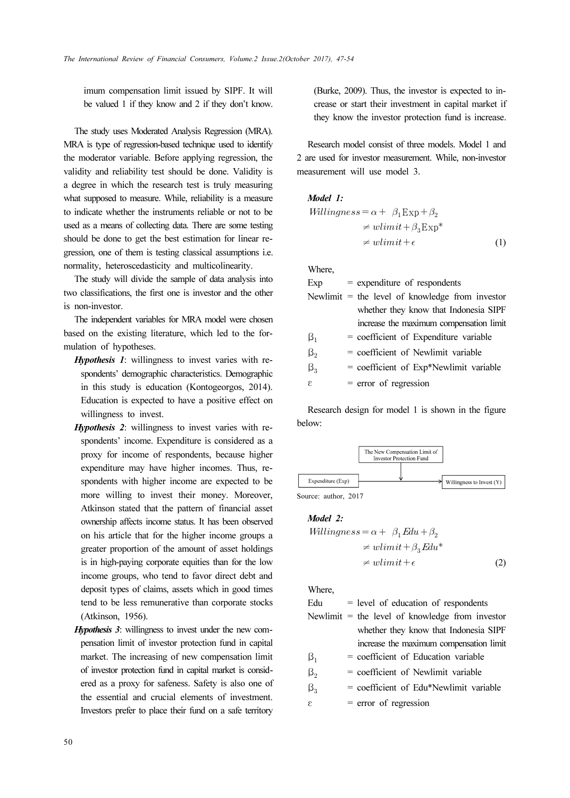imum compensation limit issued by SIPF. It will be valued 1 if they know and 2 if they don't know.

The study uses Moderated Analysis Regression (MRA). MRA is type of regression-based technique used to identify the moderator variable. Before applying regression, the validity and reliability test should be done. Validity is a degree in which the research test is truly measuring what supposed to measure. While, reliability is a measure to indicate whether the instruments reliable or not to be used as a means of collecting data. There are some testing should be done to get the best estimation for linear regression, one of them is testing classical assumptions i.e. normality, heteroscedasticity and multicolinearity.

The study will divide the sample of data analysis into two classifications, the first one is investor and the other is non-investor.

The independent variables for MRA model were chosen based on the existing literature, which led to the formulation of hypotheses.

- Hypothesis 1: willingness to invest varies with respondents' demographic characteristics. Demographic in this study is education (Kontogeorgos, 2014). Education is expected to have a positive effect on willingness to invest.
- Hypothesis 2: willingness to invest varies with respondents' income. Expenditure is considered as a proxy for income of respondents, because higher expenditure may have higher incomes. Thus, respondents with higher income are expected to be more willing to invest their money. Moreover, Atkinson stated that the pattern of financial asset ownership affects income status. It has been observed on his article that for the higher income groups a greater proportion of the amount of asset holdings is in high-paying corporate equities than for the low income groups, who tend to favor direct debt and deposit types of claims, assets which in good times tend to be less remunerative than corporate stocks (Atkinson, 1956).
- Hypothesis 3: willingness to invest under the new compensation limit of investor protection fund in capital market. The increasing of new compensation limit of investor protection fund in capital market is considered as a proxy for safeness. Safety is also one of the essential and crucial elements of investment. Investors prefer to place their fund on a safe territory

(Burke, 2009). Thus, the investor is expected to increase or start their investment in capital market if they know the investor protection fund is increase.

Research model consist of three models. Model 1 and 2 are used for investor measurement. While, non-investor measurement will use model 3.

#### Model 1:

$$
Williamses = \alpha + \beta_1 \exp + \beta_2
$$
  
\n
$$
\neq \text{wlimit} + \beta_3 \text{Exp}^*
$$
  
\n
$$
\neq \text{wlimit} + \epsilon
$$
 (1)

Where,

| Exp       | $=$ expenditure of respondents                    |
|-----------|---------------------------------------------------|
|           | Newlimit $=$ the level of knowledge from investor |
|           | whether they know that Indonesia SIPF             |
|           | increase the maximum compensation limit           |
| $\beta_1$ | $=$ coefficient of Expenditure variable           |
| $\beta$   | $=$ coefficient of Newlimit variable              |
| $\beta_3$ | $=$ coefficient of Exp*Newlimit variable          |
| 3         | $=$ error of regression                           |

Research design for model 1 is shown in the figure below:



Model 2:

$$
Williamses = \alpha + \beta_1 Edu + \beta_2
$$
  
\n
$$
\neq \text{ulimit} + \beta_3 Edu^*
$$
  
\n
$$
\neq \text{ulimit} + \epsilon
$$
 (2)

Where,

| Edu         | $=$ level of education of respondents             |
|-------------|---------------------------------------------------|
|             | Newlimit $=$ the level of knowledge from investor |
|             | whether they know that Indonesia SIPF             |
|             | increase the maximum compensation limit           |
| $\beta_1$   | = coefficient of Education variable               |
| $\beta_{2}$ | = coefficient of Newlimit variable                |
| $\beta_3$   | = coefficient of Edu*Newlimit variable            |
| 3           | $=$ error of regression                           |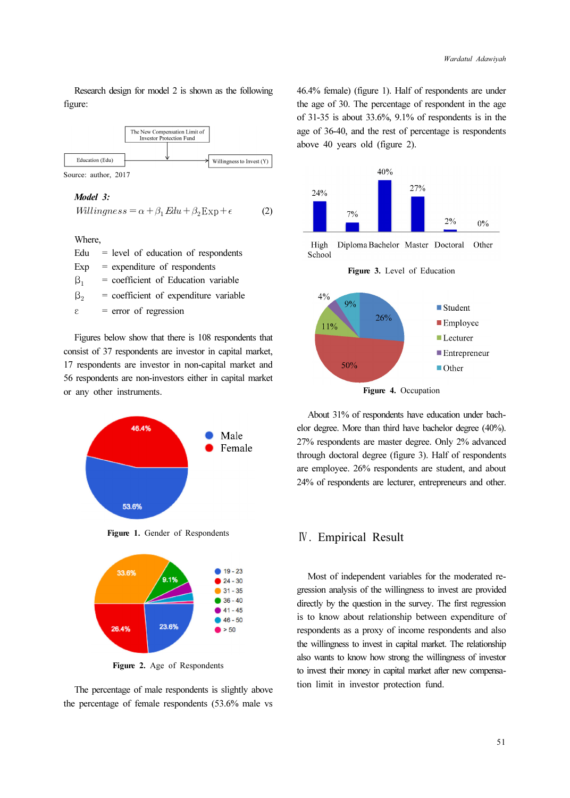Research design for model 2 is shown as the following figure:



#### Model 3:

$$
Williams = \alpha + \beta_1 Edu + \beta_2Exp + \epsilon \tag{2}
$$

Where,

| Edu         | $=$ level of education of respondents   |
|-------------|-----------------------------------------|
| Exp         | $=$ expenditure of respondents          |
| $\beta_1$   | $=$ coefficient of Education variable   |
| $\beta_{2}$ | $=$ coefficient of expenditure variable |
| ε.          | $=$ error of regression                 |
|             |                                         |

Figures below show that there is 108 respondents that consist of 37 respondents are investor in capital market, 17 respondents are investor in non-capital market and 56 respondents are non-investors either in capital market or any other instruments.



Figure 1. Gender of Respondents



Figure 2. Age of Respondents

The percentage of male respondents is slightly above the percentage of female respondents (53.6% male vs

46.4% female) (figure 1). Half of respondents are under the age of 30. The percentage of respondent in the age of 31-35 is about 33.6%, 9.1% of respondents is in the age of 36-40, and the rest of percentage is respondents above 40 years old (figure 2).



High Diploma Bachelor Master Doctoral Other School





Figure 4. Occupation

About 31% of respondents have education under bachelor degree. More than third have bachelor degree (40%). 27% respondents are master degree. Only 2% advanced through doctoral degree (figure 3). Half of respondents are employee. 26% respondents are student, and about 24% of respondents are lecturer, entrepreneurs and other.

### Ⅳ. Empirical Result

Most of independent variables for the moderated regression analysis of the willingness to invest are provided directly by the question in the survey. The first regression is to know about relationship between expenditure of respondents as a proxy of income respondents and also the willingness to invest in capital market. The relationship also wants to know how strong the willingness of investor to invest their money in capital market after new compensation limit in investor protection fund.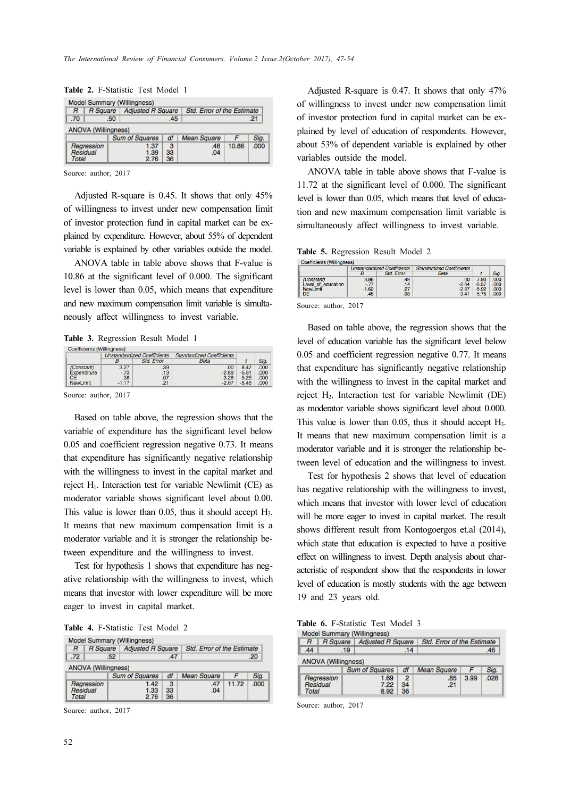| Model Summary (Willingness) |                 |                       |                          |                    |                                   |      |  |  |
|-----------------------------|-----------------|-----------------------|--------------------------|--------------------|-----------------------------------|------|--|--|
| R                           | <b>R</b> Square |                       | <b>Adjusted R Square</b> |                    | <b>Std. Error of the Estimate</b> |      |  |  |
| .70                         |                 | .50                   | .45                      |                    |                                   | .21  |  |  |
| <b>ANOVA</b> (Willingness)  |                 |                       |                          |                    |                                   |      |  |  |
|                             |                 | <b>Sum of Squares</b> | df                       | <b>Mean Square</b> |                                   | Sig. |  |  |
|                             | Regression      | 1.37                  | з                        | .46                | 10.86                             | .000 |  |  |
| Residual                    |                 | 1.39                  | 33                       | .04                |                                   |      |  |  |
| Total                       |                 | 2.76                  | 36                       |                    |                                   |      |  |  |

Table 2. F-Statistic Test Model 1

Source: author, 2017

Adjusted R-square is 0.45. It shows that only 45% of willingness to invest under new compensation limit of investor protection fund in capital market can be explained by expenditure. However, about 55% of dependent variable is explained by other variables outside the model.

ANOVA table in table above shows that F-value is 10.86 at the significant level of 0.000. The significant level is lower than 0.05, which means that expenditure and new maximum compensation limit variable is simultaneously affect willingness to invest variable.

#### Table 3. Regression Result Model 1

| Coemcients ( <i>Willingness</i> ) |         |                                    |                                  |         |      |
|-----------------------------------|---------|------------------------------------|----------------------------------|---------|------|
|                                   |         | <b>Unstandardized Coefficients</b> | <b>Standardized Coefficients</b> |         |      |
|                                   |         | <b>Std. Error</b>                  | Beta                             |         |      |
| (Constant)                        | 3.27    | .39                                | .00                              | 8.47    | .000 |
| Expenditure                       | $-73$   | .13                                | $-2.89$                          | $-5.51$ | .000 |
| CЕ<br><b>NewLimit</b>             | .38     | .07                                | 3.28                             | 5.26    | .000 |
|                                   | $-1.17$ |                                    | $-2.07$                          | $-5.46$ | .000 |

Source: author, 2017

Based on table above, the regression shows that the variable of expenditure has the significant level below 0.05 and coefficient regression negative 0.73. It means that expenditure has significantly negative relationship with the willingness to invest in the capital market and reject H1. Interaction test for variable Newlimit (CE) as moderator variable shows significant level about 0.00. This value is lower than  $0.05$ , thus it should accept  $H_3$ . It means that new maximum compensation limit is a moderator variable and it is stronger the relationship between expenditure and the willingness to invest.

Test for hypothesis 1 shows that expenditure has negative relationship with the willingness to invest, which means that investor with lower expenditure will be more eager to invest in capital market.

|  |  | Table 4. F-Statistic Test Model 2 |  |  |  |
|--|--|-----------------------------------|--|--|--|
|--|--|-----------------------------------|--|--|--|

|       | <b>Model Summary (Willingness)</b> |     |                          |    |                    |                                   |      |  |
|-------|------------------------------------|-----|--------------------------|----|--------------------|-----------------------------------|------|--|
| R     | <b>R</b> Square                    |     | <b>Adjusted R Square</b> |    |                    | <b>Std. Error of the Estimate</b> |      |  |
| .72   |                                    | .52 | .47                      |    |                    |                                   | .20  |  |
|       | <b>ANOVA (Willingness)</b>         |     |                          |    |                    |                                   |      |  |
|       |                                    |     | <b>Sum of Squares</b>    | df | <b>Mean Square</b> |                                   | Sig. |  |
|       | Regression                         |     | 1.42                     | 3  | .47                | 11.72                             | .000 |  |
|       | Residual                           |     | 1.33                     | 33 | .04                |                                   |      |  |
| Total |                                    |     | 2.76                     | 36 |                    |                                   |      |  |

Source: author, 2017

Adjusted R-square is 0.47. It shows that only 47% of willingness to invest under new compensation limit of investor protection fund in capital market can be explained by level of education of respondents. However, about 53% of dependent variable is explained by other variables outside the model.

ANOVA table in table above shows that F-value is 11.72 at the significant level of 0.000. The significant level is lower than 0.05, which means that level of education and new maximum compensation limit variable is simultaneously affect willingness to invest variable.

Table 5. Regression Result Model 2

| Coefficients (Willingness) |                                    |                   |                                  |         |      |
|----------------------------|------------------------------------|-------------------|----------------------------------|---------|------|
|                            | <b>Unstandardized Coefficients</b> |                   | <b>Standardized Coefficients</b> |         |      |
|                            |                                    | <b>Std. Error</b> | Beta                             |         | Sia  |
| (Constant)                 | 3.86                               | 49                | 00                               | 7.90    | 000  |
| Level of education         | $-.77$                             | 14                | $-2.64$                          | $-5.57$ | .000 |
| NewLimit                   | $-1.62$                            |                   | $-2.87$                          | $-5.92$ | 000  |
| DE                         | .45                                | .08               | 3.41                             | 5.75    | 000  |

Source: author, 2017

Based on table above, the regression shows that the level of education variable has the significant level below 0.05 and coefficient regression negative 0.77. It means that expenditure has significantly negative relationship with the willingness to invest in the capital market and reject H2. Interaction test for variable Newlimit (DE) as moderator variable shows significant level about 0.000. This value is lower than 0.05, thus it should accept H<sub>3</sub>. It means that new maximum compensation limit is a moderator variable and it is stronger the relationship between level of education and the willingness to invest.

Test for hypothesis 2 shows that level of education has negative relationship with the willingness to invest, which means that investor with lower level of education will be more eager to invest in capital market. The result shows different result from Kontogoergos et.al (2014), which state that education is expected to have a positive effect on willingness to invest. Depth analysis about characteristic of respondent show that the respondents in lower level of education is mostly students with the age between 19 and 23 years old.

Table 6. F-Statistic Test Model 3

|                            |                 |     | Model Summary (Willingness) |                |                    |                                   |      |  |
|----------------------------|-----------------|-----|-----------------------------|----------------|--------------------|-----------------------------------|------|--|
| R                          | <b>R</b> Square |     | <b>Adjusted R Square</b>    |                |                    | <b>Std. Error of the Estimate</b> |      |  |
| .44                        |                 | .19 | .14                         |                |                    |                                   | .46  |  |
| <b>ANOVA (Willingness)</b> |                 |     |                             |                |                    |                                   |      |  |
|                            |                 |     | <b>Sum of Squares</b>       | df             | <b>Mean Square</b> |                                   | Sig. |  |
|                            | Regression      |     | 1.69                        | $\overline{2}$ | .85                | 3.99                              | .028 |  |
| Residual                   |                 |     | 7.22                        | 34             | .21                |                                   |      |  |
| Total                      |                 |     | 8.92                        | 36             |                    |                                   |      |  |

Source: author, 2017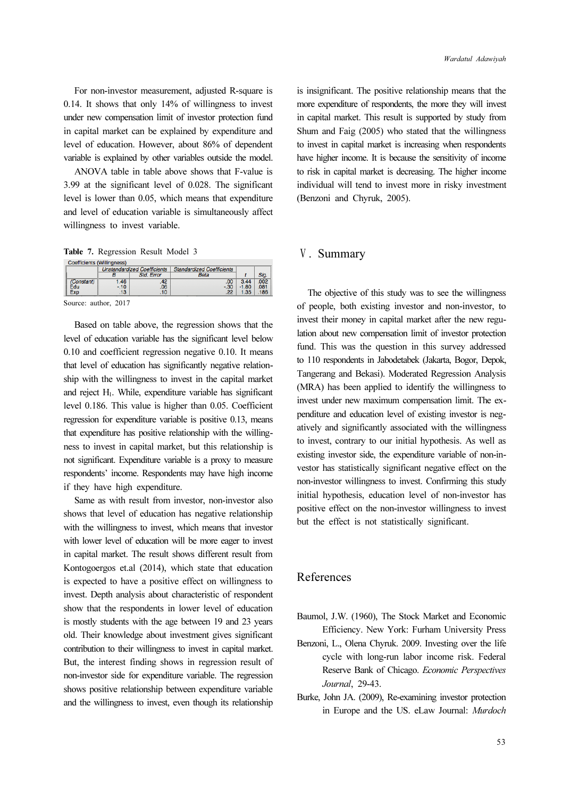For non-investor measurement, adjusted R-square is 0.14. It shows that only 14% of willingness to invest under new compensation limit of investor protection fund in capital market can be explained by expenditure and level of education. However, about 86% of dependent variable is explained by other variables outside the model.

ANOVA table in table above shows that F-value is 3.99 at the significant level of 0.028. The significant level is lower than 0.05, which means that expenditure and level of education variable is simultaneously affect willingness to invest variable.

Table 7. Regression Result Model 3

|            | <b>Coefficients (Willingness)</b> |                                    |                                  |         |      |
|------------|-----------------------------------|------------------------------------|----------------------------------|---------|------|
|            |                                   | <b>Unstandardized Coefficients</b> | <b>Standardized Coefficients</b> |         |      |
|            | B                                 | <b>Std. Error</b>                  | <b>Beta</b>                      |         | Sig  |
| (Constant) | 1.46                              | .42                                | .00                              | 3.44    | .002 |
| Edu        | $-10$                             | .06                                | $-30$                            | $-1.80$ | .081 |
| Exp        | .13                               | .10                                | .22                              | 1.35    | .186 |
|            |                                   |                                    |                                  |         |      |

Source: author, 2017

Based on table above, the regression shows that the level of education variable has the significant level below 0.10 and coefficient regression negative 0.10. It means that level of education has significantly negative relationship with the willingness to invest in the capital market and reject H1. While, expenditure variable has significant level 0.186. This value is higher than 0.05. Coefficient regression for expenditure variable is positive 0.13, means that expenditure has positive relationship with the willingness to invest in capital market, but this relationship is not significant. Expenditure variable is a proxy to measure respondents' income. Respondents may have high income if they have high expenditure.

Same as with result from investor, non-investor also shows that level of education has negative relationship with the willingness to invest, which means that investor with lower level of education will be more eager to invest in capital market. The result shows different result from Kontogoergos et.al (2014), which state that education is expected to have a positive effect on willingness to invest. Depth analysis about characteristic of respondent show that the respondents in lower level of education is mostly students with the age between 19 and 23 years old. Their knowledge about investment gives significant contribution to their willingness to invest in capital market. But, the interest finding shows in regression result of non-investor side for expenditure variable. The regression shows positive relationship between expenditure variable and the willingness to invest, even though its relationship

is insignificant. The positive relationship means that the more expenditure of respondents, the more they will invest in capital market. This result is supported by study from Shum and Faig (2005) who stated that the willingness to invest in capital market is increasing when respondents have higher income. It is because the sensitivity of income to risk in capital market is decreasing. The higher income individual will tend to invest more in risky investment (Benzoni and Chyruk, 2005).

### Ⅴ. Summary

The objective of this study was to see the willingness of people, both existing investor and non-investor, to invest their money in capital market after the new regulation about new compensation limit of investor protection fund. This was the question in this survey addressed to 110 respondents in Jabodetabek (Jakarta, Bogor, Depok, Tangerang and Bekasi). Moderated Regression Analysis (MRA) has been applied to identify the willingness to invest under new maximum compensation limit. The expenditure and education level of existing investor is negatively and significantly associated with the willingness to invest, contrary to our initial hypothesis. As well as existing investor side, the expenditure variable of non-investor has statistically significant negative effect on the non-investor willingness to invest. Confirming this study initial hypothesis, education level of non-investor has positive effect on the non-investor willingness to invest but the effect is not statistically significant.

## References

- Baumol, J.W. (1960), The Stock Market and Economic Efficiency. New York: Furham University Press
- Benzoni, L., Olena Chyruk. 2009. Investing over the life cycle with long-run labor income risk. Federal Reserve Bank of Chicago. Economic Perspectives Journal, 29-43.
- Burke, John JA. (2009), Re-examining investor protection in Europe and the US. eLaw Journal: Murdoch